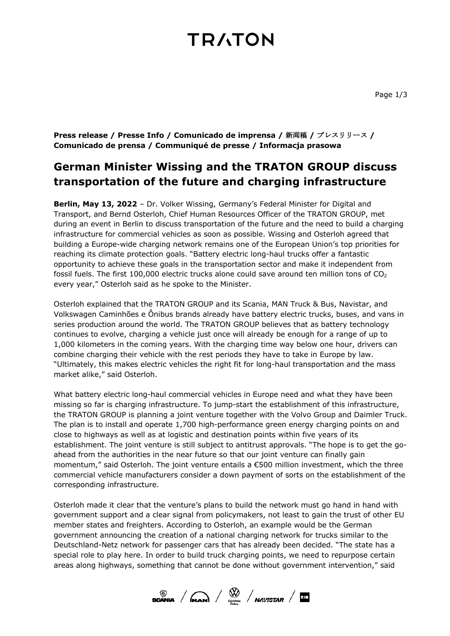## **TRATON**

**Press release / Presse Info / Comunicado de imprensa /** 新**闻**稿 **/** プレスリリース **/ Comunicado de prensa / Communiqué de presse / Informacja prasowa**

### **German Minister Wissing and the TRATON GROUP discuss transportation of the future and charging infrastructure**

**Berlin, May 13, 2022** – Dr. Volker Wissing, Germany's Federal Minister for Digital and Transport, and Bernd Osterloh, Chief Human Resources Officer of the TRATON GROUP, met during an event in Berlin to discuss transportation of the future and the need to build a charging infrastructure for commercial vehicles as soon as possible. Wissing and Osterloh agreed that building a Europe-wide charging network remains one of the European Union's top priorities for reaching its climate protection goals. "Battery electric long-haul trucks offer a fantastic opportunity to achieve these goals in the transportation sector and make it independent from fossil fuels. The first 100,000 electric trucks alone could save around ten million tons of  $CO<sub>2</sub>$ every year," Osterloh said as he spoke to the Minister.

Osterloh explained that the TRATON GROUP and its Scania, MAN Truck & Bus, Navistar, and Volkswagen Caminhões e Ônibus brands already have battery electric trucks, buses, and vans in series production around the world. The TRATON GROUP believes that as battery technology continues to evolve, charging a vehicle just once will already be enough for a range of up to 1,000 kilometers in the coming years. With the charging time way below one hour, drivers can combine charging their vehicle with the rest periods they have to take in Europe by law. "Ultimately, this makes electric vehicles the right fit for long-haul transportation and the mass market alike," said Osterloh.

What battery electric long-haul commercial vehicles in Europe need and what they have been missing so far is charging infrastructure. To jump-start the establishment of this infrastructure, the TRATON GROUP is planning a joint venture together with the Volvo Group and Daimler Truck. The plan is to install and operate 1,700 high-performance green energy charging points on and close to highways as well as at logistic and destination points within five years of its establishment. The joint venture is still subject to antitrust approvals. "The hope is to get the goahead from the authorities in the near future so that our joint venture can finally gain momentum," said Osterloh. The joint venture entails a €500 million investment, which the three commercial vehicle manufacturers consider a down payment of sorts on the establishment of the corresponding infrastructure.

Osterloh made it clear that the venture's plans to build the network must go hand in hand with government support and a clear signal from policymakers, not least to gain the trust of other EU member states and freighters. According to Osterloh, an example would be the German government announcing the creation of a national charging network for trucks similar to the Deutschland-Netz network for passenger cars that has already been decided. "The state has a special role to play here. In order to build truck charging points, we need to repurpose certain areas along highways, something that cannot be done without government intervention," said

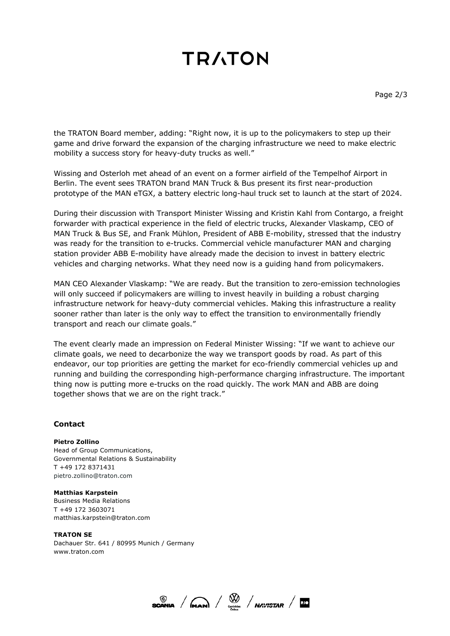# **TRATON**

the TRATON Board member, adding: "Right now, it is up to the policymakers to step up their game and drive forward the expansion of the charging infrastructure we need to make electric mobility a success story for heavy-duty trucks as well."

Wissing and Osterloh met ahead of an event on a former airfield of the Tempelhof Airport in Berlin. The event sees TRATON brand MAN Truck & Bus present its first near-production prototype of the MAN eTGX, a battery electric long-haul truck set to launch at the start of 2024.

During their discussion with Transport Minister Wissing and Kristin Kahl from Contargo, a freight forwarder with practical experience in the field of electric trucks, Alexander Vlaskamp, CEO of MAN Truck & Bus SE, and Frank Mühlon, President of ABB E-mobility, stressed that the industry was ready for the transition to e-trucks. Commercial vehicle manufacturer MAN and charging station provider ABB E-mobility have already made the decision to invest in battery electric vehicles and charging networks. What they need now is a guiding hand from policymakers.

MAN CEO Alexander Vlaskamp: "We are ready. But the transition to zero-emission technologies will only succeed if policymakers are willing to invest heavily in building a robust charging infrastructure network for heavy-duty commercial vehicles. Making this infrastructure a reality sooner rather than later is the only way to effect the transition to environmentally friendly transport and reach our climate goals."

The event clearly made an impression on Federal Minister Wissing: "If we want to achieve our climate goals, we need to decarbonize the way we transport goods by road. As part of this endeavor, our top priorities are getting the market for eco-friendly commercial vehicles up and running and building the corresponding high-performance charging infrastructure. The important thing now is putting more e-trucks on the road quickly. The work MAN and ABB are doing together shows that we are on the right track."

### **Contact**

#### **Pietro Zollino**

Head of Group Communications, Governmental Relations & Sustainability T +49 172 8371431 pietro.zollino@traton.com

#### **Matthias Karpstein**

Business Media Relations T +49 172 3603071 matthias.karpstein@traton.com

#### **TRATON SE**

Dachauer Str. 641 / 80995 Munich / Germany www.traton.com